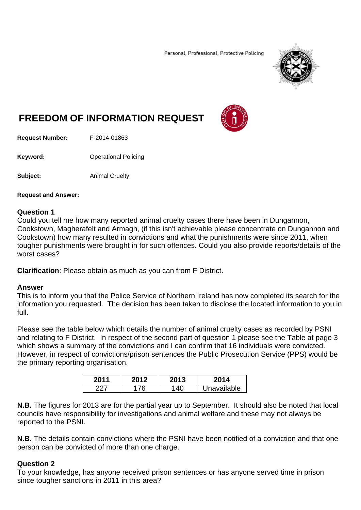Personal, Professional, Protective Policing



# **FREEDOM OF INFORMATION REQUEST**



**Request Number:** F-2014-01863

**Keyword: C**Derational Policing

**Subject:** Animal Cruelty

#### **Request and Answer:**

#### **Question 1**

Could you tell me how many reported animal cruelty cases there have been in Dungannon, Cookstown, Magherafelt and Armagh, (if this isn't achievable please concentrate on Dungannon and Cookstown) how many resulted in convictions and what the punishments were since 2011, when tougher punishments were brought in for such offences. Could you also provide reports/details of the worst cases?

**Clarification**: Please obtain as much as you can from F District.

#### **Answer**

This is to inform you that the Police Service of Northern Ireland has now completed its search for the information you requested. The decision has been taken to disclose the located information to you in full.

Please see the table below which details the number of animal cruelty cases as recorded by PSNI and relating to F District. In respect of the second part of question 1 please see the Table at page 3 which shows a summary of the convictions and I can confirm that 16 individuals were convicted. However, in respect of convictions/prison sentences the Public Prosecution Service (PPS) would be the primary reporting organisation.

| 201' | 2013 | 2014        |
|------|------|-------------|
|      | 40   | Jnavailable |

**N.B.** The figures for 2013 are for the partial year up to September. It should also be noted that local councils have responsibility for investigations and animal welfare and these may not always be reported to the PSNI.

**N.B.** The details contain convictions where the PSNI have been notified of a conviction and that one person can be convicted of more than one charge.

## **Question 2**

To your knowledge, has anyone received prison sentences or has anyone served time in prison since tougher sanctions in 2011 in this area?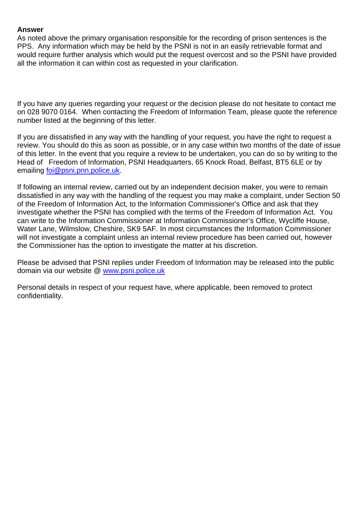### **Answer**

As noted above the primary organisation responsible for the recording of prison sentences is the PPS. Any information which may be held by the PSNI is not in an easily retrievable format and would require further analysis which would put the request overcost and so the PSNI have provided all the information it can within cost as requested in your clarification.

If you have any queries regarding your request or the decision please do not hesitate to contact me on 028 9070 0164. When contacting the Freedom of Information Team, please quote the reference number listed at the beginning of this letter.

If you are dissatisfied in any way with the handling of your request, you have the right to request a review. You should do this as soon as possible, or in any case within two months of the date of issue of this letter. In the event that you require a review to be undertaken, you can do so by writing to the Head of Freedom of Information, PSNI Headquarters, 65 Knock Road, Belfast, BT5 6LE or by emailing foi@psni.pnn.police.uk.

If following an internal review, carried out by an independent decision maker, you were to remain dissatisfied in any way with the handling of the request you may make a complaint, under Section 50 of the Freedom of Information Act, to the Information Commissioner's Office and ask that they investigate whether the PSNI has complied with the terms of the Freedom of Information Act. You can write to the Information Commissioner at Information Commissioner's Office, Wycliffe House, Water Lane, Wilmslow, Cheshire, SK9 5AF. In most circumstances the Information Commissioner will not investigate a complaint unless an internal review procedure has been carried out, however the Commissioner has the option to investigate the matter at his discretion.

Please be advised that PSNI replies under Freedom of Information may be released into the public domain via our website @ www.psni.police.uk

Personal details in respect of your request have, where applicable, been removed to protect confidentiality.